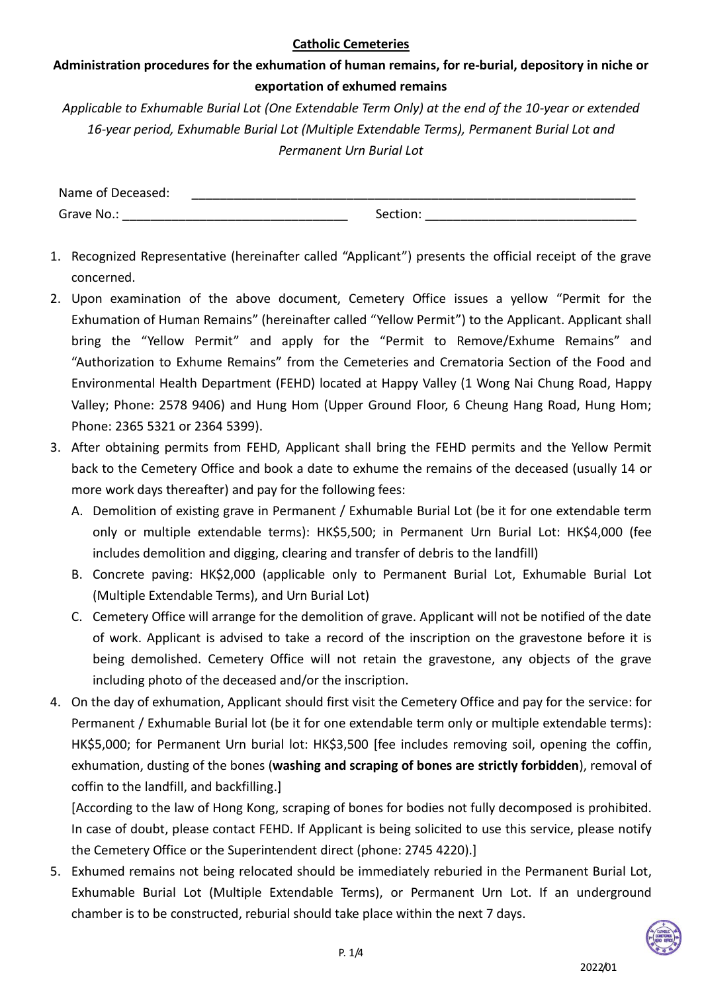**Administration procedures for the exhumation of human remains, for re-burial, depository in niche or exportation of exhumed remains**

*Applicable to Exhumable Burial Lot (One Extendable Term Only) at the end of the 10-year or extended 16-year period, Exhumable Burial Lot (Multiple Extendable Terms), Permanent Burial Lot and Permanent Urn Burial Lot*

| Name of Deceased: |          |
|-------------------|----------|
| Grave No.:        | Section: |

- 1. Recognized Representative (hereinafter called "Applicant") presents the official receipt of the grave concerned.
- 2. Upon examination of the above document, Cemetery Office issues a yellow "Permit for the Exhumation of Human Remains" (hereinafter called "Yellow Permit") to the Applicant. Applicant shall bring the "Yellow Permit" and apply for the "Permit to Remove/Exhume Remains" and "Authorization to Exhume Remains" from the Cemeteries and Crematoria Section of the Food and Environmental Health Department (FEHD) located at Happy Valley (1 Wong Nai Chung Road, Happy Valley; Phone: 2578 9406) and Hung Hom (Upper Ground Floor, 6 Cheung Hang Road, Hung Hom; Phone: 2365 5321 or 2364 5399).
- 3. After obtaining permits from FEHD, Applicant shall bring the FEHD permits and the Yellow Permit back to the Cemetery Office and book a date to exhume the remains of the deceased (usually 14 or more work days thereafter) and pay for the following fees:
	- A. Demolition of existing grave in Permanent / Exhumable Burial Lot (be it for one extendable term only or multiple extendable terms): HK\$5,500; in Permanent Urn Burial Lot: HK\$4,000 (fee includes demolition and digging, clearing and transfer of debris to the landfill)
	- B. Concrete paving: HK\$2,000 (applicable only to Permanent Burial Lot, Exhumable Burial Lot (Multiple Extendable Terms), and Urn Burial Lot)
	- C. Cemetery Office will arrange for the demolition of grave. Applicant will not be notified of the date of work. Applicant is advised to take a record of the inscription on the gravestone before it is being demolished. Cemetery Office will not retain the gravestone, any objects of the grave including photo of the deceased and/or the inscription.
- 4. On the day of exhumation, Applicant should first visit the Cemetery Office and pay for the service: for Permanent / Exhumable Burial lot (be it for one extendable term only or multiple extendable terms): HK\$5,000; for Permanent Urn burial lot: HK\$3,500 [fee includes removing soil, opening the coffin, exhumation, dusting of the bones (**washing and scraping of bones are strictly forbidden**), removal of coffin to the landfill, and backfilling.]

[According to the law of Hong Kong, scraping of bones for bodies not fully decomposed is prohibited. In case of doubt, please contact FEHD. If Applicant is being solicited to use this service, please notify the Cemetery Office or the Superintendent direct (phone: 2745 4220).]

5. Exhumed remains not being relocated should be immediately reburied in the Permanent Burial Lot, Exhumable Burial Lot (Multiple Extendable Terms), or Permanent Urn Lot. If an underground chamber is to be constructed, reburial should take place within the next 7 days.

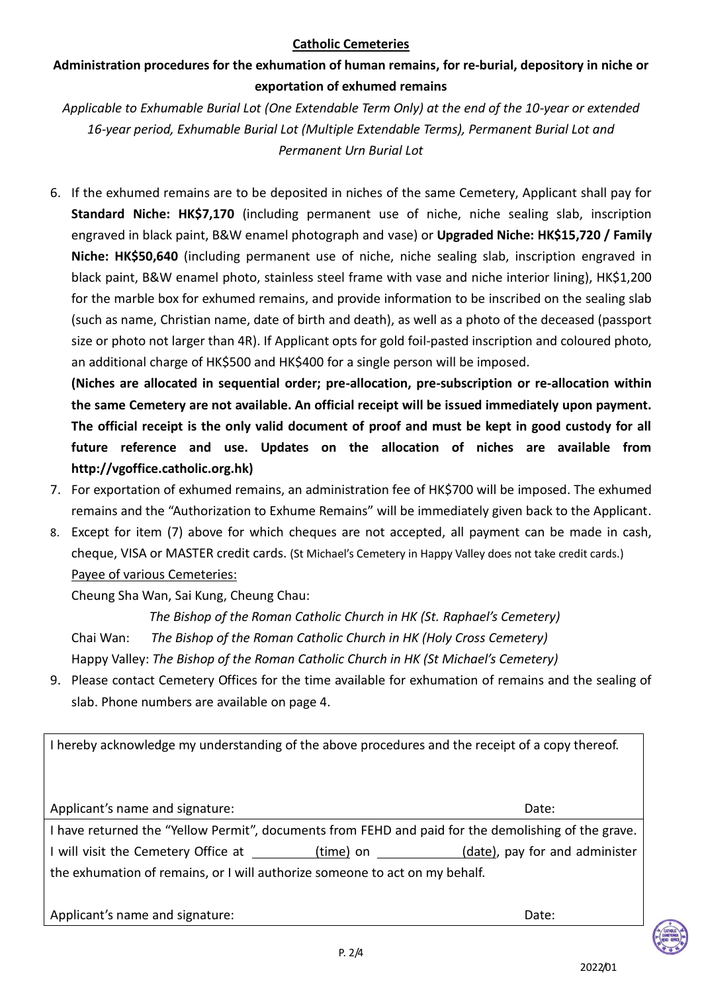# **Administration procedures for the exhumation of human remains, for re-burial, depository in niche or exportation of exhumed remains**

*Applicable to Exhumable Burial Lot (One Extendable Term Only) at the end of the 10-year or extended 16-year period, Exhumable Burial Lot (Multiple Extendable Terms), Permanent Burial Lot and Permanent Urn Burial Lot* 

6. If the exhumed remains are to be deposited in niches of the same Cemetery, Applicant shall pay for **Standard Niche: HK\$7,170** (including permanent use of niche, niche sealing slab, inscription engraved in black paint, B&W enamel photograph and vase) or **Upgraded Niche: HK\$15,720 / Family Niche: HK\$50,640** (including permanent use of niche, niche sealing slab, inscription engraved in black paint, B&W enamel photo, stainless steel frame with vase and niche interior lining), HK\$1,200 for the marble box for exhumed remains, and provide information to be inscribed on the sealing slab (such as name, Christian name, date of birth and death), as well as a photo of the deceased (passport size or photo not larger than 4R). If Applicant opts for gold foil-pasted inscription and coloured photo, an additional charge of HK\$500 and HK\$400 for a single person will be imposed.

**(Niches are allocated in sequential order; pre-allocation, pre-subscription or re-allocation within the same Cemetery are not available. An official receipt will be issued immediately upon payment. The official receipt is the only valid document of proof and must be kept in good custody for all future reference and use. Updates on the allocation of niches are available from http://vgoffice.catholic.org.hk)**

- 7. For exportation of exhumed remains, an administration fee of HK\$700 will be imposed. The exhumed remains and the "Authorization to Exhume Remains" will be immediately given back to the Applicant.
- 8. Except for item (7) above for which cheques are not accepted, all payment can be made in cash, cheque, VISA or MASTER credit cards. (St Michael's Cemetery in Happy Valley does not take credit cards.) Payee of various Cemeteries:

Cheung Sha Wan, Sai Kung, Cheung Chau:

 *The Bishop of the Roman Catholic Church in HK (St. Raphael's Cemetery)* Chai Wan: *The Bishop of the Roman Catholic Church in HK (Holy Cross Cemetery)* Happy Valley: *The Bishop of the Roman Catholic Church in HK (St Michael's Cemetery)*

9. Please contact Cemetery Offices for the time available for exhumation of remains and the sealing of slab. Phone numbers are available on page 4.

I hereby acknowledge my understanding of the above procedures and the receipt of a copy thereof.

Applicant's name and signature: Date: I have returned the "Yellow Permit", documents from FEHD and paid for the demolishing of the grave. I will visit the Cemetery Office at (time) on (date), pay for and administer the exhumation of remains, or I will authorize someone to act on my behalf.

Applicant's name and signature: **Date:**  $\blacksquare$ 

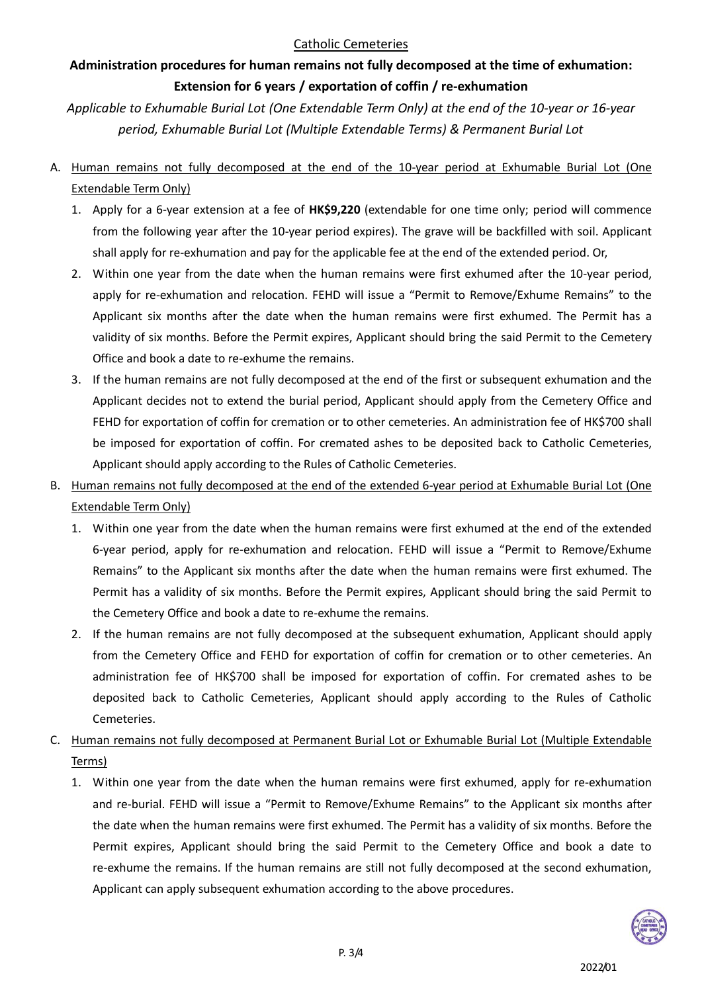# **Administration procedures for human remains not fully decomposed at the time of exhumation: Extension for 6 years / exportation of coffin / re-exhumation**

*Applicable to Exhumable Burial Lot (One Extendable Term Only) at the end of the 10-year or 16-year period, Exhumable Burial Lot (Multiple Extendable Terms) & Permanent Burial Lot* 

- A. Human remains not fully decomposed at the end of the 10-year period at Exhumable Burial Lot (One Extendable Term Only)
	- 1. Apply for a 6-year extension at a fee of **HK\$9,220** (extendable for one time only; period will commence from the following year after the 10-year period expires). The grave will be backfilled with soil. Applicant shall apply for re-exhumation and pay for the applicable fee at the end of the extended period. Or,
	- 2. Within one year from the date when the human remains were first exhumed after the 10-year period, apply for re-exhumation and relocation. FEHD will issue a "Permit to Remove/Exhume Remains" to the Applicant six months after the date when the human remains were first exhumed. The Permit has a validity of six months. Before the Permit expires, Applicant should bring the said Permit to the Cemetery Office and book a date to re-exhume the remains.
	- 3. If the human remains are not fully decomposed at the end of the first or subsequent exhumation and the Applicant decides not to extend the burial period, Applicant should apply from the Cemetery Office and FEHD for exportation of coffin for cremation or to other cemeteries. An administration fee of HK\$700 shall be imposed for exportation of coffin. For cremated ashes to be deposited back to Catholic Cemeteries, Applicant should apply according to the Rules of Catholic Cemeteries.
- B. Human remains not fully decomposed at the end of the extended 6-year period at Exhumable Burial Lot (One Extendable Term Only)
	- 1. Within one year from the date when the human remains were first exhumed at the end of the extended 6-year period, apply for re-exhumation and relocation. FEHD will issue a "Permit to Remove/Exhume Remains" to the Applicant six months after the date when the human remains were first exhumed. The Permit has a validity of six months. Before the Permit expires, Applicant should bring the said Permit to the Cemetery Office and book a date to re-exhume the remains.
	- 2. If the human remains are not fully decomposed at the subsequent exhumation, Applicant should apply from the Cemetery Office and FEHD for exportation of coffin for cremation or to other cemeteries. An administration fee of HK\$700 shall be imposed for exportation of coffin. For cremated ashes to be deposited back to Catholic Cemeteries, Applicant should apply according to the Rules of Catholic Cemeteries.
- C. Human remains not fully decomposed at Permanent Burial Lot or Exhumable Burial Lot (Multiple Extendable Terms)
	- 1. Within one year from the date when the human remains were first exhumed, apply for re-exhumation and re-burial. FEHD will issue a "Permit to Remove/Exhume Remains" to the Applicant six months after the date when the human remains were first exhumed. The Permit has a validity of six months. Before the Permit expires, Applicant should bring the said Permit to the Cemetery Office and book a date to re-exhume the remains. If the human remains are still not fully decomposed at the second exhumation, Applicant can apply subsequent exhumation according to the above procedures.